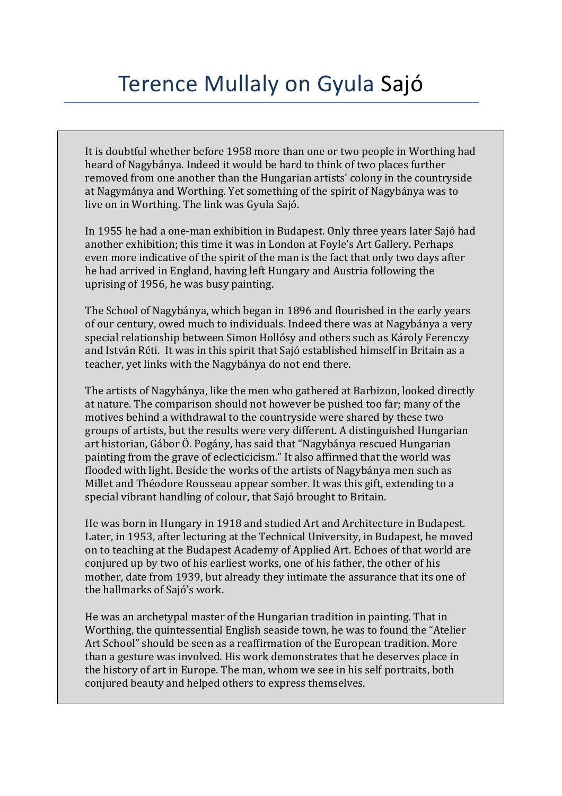## Terence Mullaly on Gyula Sajó

It is doubtful whether before 1958 more than one or two people in Worthing had heard of Nagybánya. Indeed it would be hard to think of two places further removed from one another than the Hungarian artists' colony in the countryside at Nagymánya and Worthing. Yet something of the spirit of Nagybánya was to live on in Worthing. The link was Gyula Sajó.

In 1955 he had a one-man exhibition in Budapest. Only three years later Sajó had another exhibition; this time it was in London at Foyle's Art Gallery. Perhaps even more indicative of the spirit of the man is the fact that only two days after he had arrived in England, having left Hungary and Austria following the uprising of 1956, he was busy painting.

The School of Nagybánya, which began in 1896 and flourished in the early years of our century, owed much to individuals. Indeed there was at Nagybánya a very special relationship between Simon Hollósy and others such as Károly Ferenczy and István Réti. It was in this spirit that Sajó established himself in Britain as a teacher, yet links with the Nagybánya do not end there.

The artists of Nagybánya, like the men who gathered at Barbizon, looked directly at nature. The comparison should not however be pushed too far; many of the motives behind a withdrawal to the countryside were shared by these two groups of artists, but the results were very different. A distinguished Hungarian art historian, Gábor Ö. Pogány, has said that "Nagybánya rescued Hungarian painting from the grave of eclecticicism." It also affirmed that the world was flooded with light. Beside the works of the artists of Nagybánya men such as Millet and Théodore Rousseau appear somber. It was this gift, extending to a special vibrant handling of colour, that Sajó brought to Britain.

He was born in Hungary in 1918 and studied Art and Architecture in Budapest. Later, in 1953, after lecturing at the Technical University, in Budapest, he moved on to teaching at the Budapest Academy of Applied Art. Echoes of that world are conjured up by two of his earliest works, one of his father, the other of his mother, date from 1939, but already they intimate the assurance that its one of the hallmarks of Sajó's work.

He was an archetypal master of the Hungarian tradition in painting. That in Worthing, the quintessential English seaside town, he was to found the "Atelier" Art School" should be seen as a reaffirmation of the European tradition. More than a gesture was involved. His work demonstrates that he deserves place in the history of art in Europe. The man, whom we see in his self portraits, both conjured beauty and helped others to express themselves.